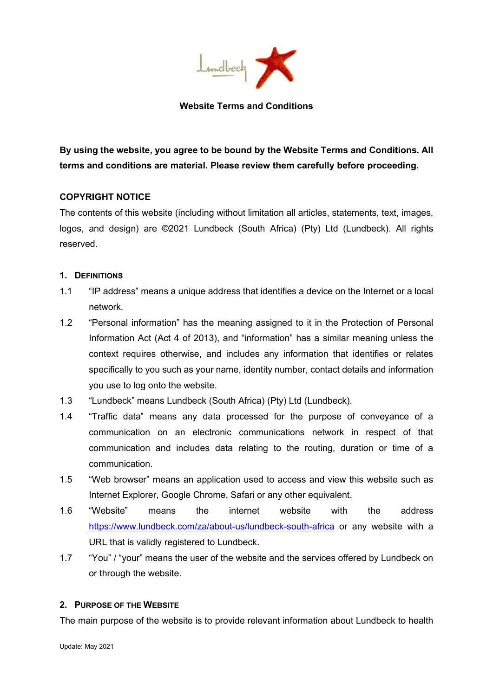

## **Website Terms and Conditions**

**By using the website, you agree to be bound by the Website Terms and Conditions. All terms and conditions are material. Please review them carefully before proceeding.** 

# **COPYRIGHT NOTICE**

The contents of this website (including without limitation all articles, statements, text, images, logos, and design) are ©2021 Lundbeck (South Africa) (Pty) Ltd (Lundbeck). All rights reserved.

## **1. DEFINITIONS**

- 1.1 "IP address" means a unique address that identifies a device on the Internet or a local network.
- 1.2 "Personal information" has the meaning assigned to it in the Protection of Personal Information Act (Act 4 of 2013), and "information" has a similar meaning unless the context requires otherwise, and includes any information that identifies or relates specifically to you such as your name, identity number, contact details and information you use to log onto the website.
- 1.3 "Lundbeck" means Lundbeck (South Africa) (Pty) Ltd (Lundbeck).
- 1.4 "Traffic data" means any data processed for the purpose of conveyance of a communication on an electronic communications network in respect of that communication and includes data relating to the routing, duration or time of a communication.
- 1.5 "Web browser" means an application used to access and view this website such as Internet Explorer, Google Chrome, Safari or any other equivalent.
- 1.6 "Website" means the internet website with the address <https://www.lundbeck.com/za/about-us/lundbeck-south-africa> or any website with a URL that is validly registered to Lundbeck.
- 1.7 "You" / "your" means the user of the website and the services offered by Lundbeck on or through the website.

# **2. PURPOSE OF THE WEBSITE**

The main purpose of the website is to provide relevant information about Lundbeck to health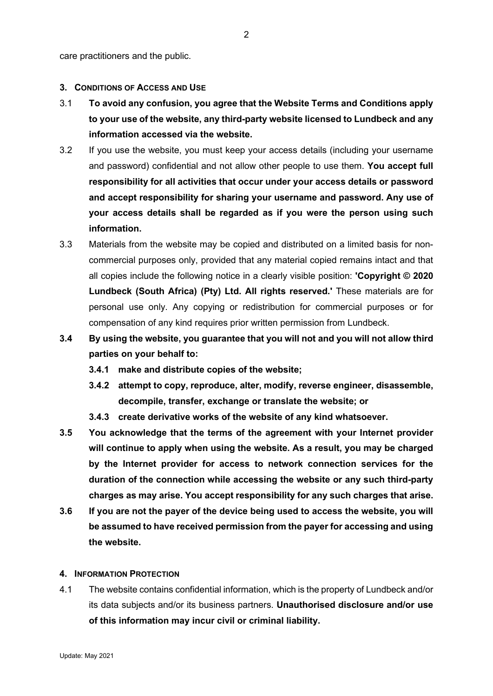care practitioners and the public.

#### **3. CONDITIONS OF ACCESS AND USE**

- 3.1 **To avoid any confusion, you agree that the Website Terms and Conditions apply to your use of the website, any third-party website licensed to Lundbeck and any information accessed via the website.**
- 3.2 If you use the website, you must keep your access details (including your username and password) confidential and not allow other people to use them. **You accept full responsibility for all activities that occur under your access details or password and accept responsibility for sharing your username and password. Any use of your access details shall be regarded as if you were the person using such information.**
- 3.3 Materials from the website may be copied and distributed on a limited basis for noncommercial purposes only, provided that any material copied remains intact and that all copies include the following notice in a clearly visible position: **'Copyright © 2020 Lundbeck (South Africa) (Pty) Ltd. All rights reserved.'** These materials are for personal use only. Any copying or redistribution for commercial purposes or for compensation of any kind requires prior written permission from Lundbeck.
- **3.4 By using the website, you guarantee that you will not and you will not allow third parties on your behalf to:**
	- **3.4.1 make and distribute copies of the website;**
	- **3.4.2 attempt to copy, reproduce, alter, modify, reverse engineer, disassemble, decompile, transfer, exchange or translate the website; or**
	- **3.4.3 create derivative works of the website of any kind whatsoever.**
- **3.5 You acknowledge that the terms of the agreement with your Internet provider will continue to apply when using the website. As a result, you may be charged by the Internet provider for access to network connection services for the duration of the connection while accessing the website or any such third-party charges as may arise. You accept responsibility for any such charges that arise.**
- **3.6 If you are not the payer of the device being used to access the website, you will be assumed to have received permission from the payer for accessing and using the website.**

## **4. INFORMATION PROTECTION**

4.1 The website contains confidential information, which is the property of Lundbeck and/or its data subjects and/or its business partners. **Unauthorised disclosure and/or use of this information may incur civil or criminal liability.**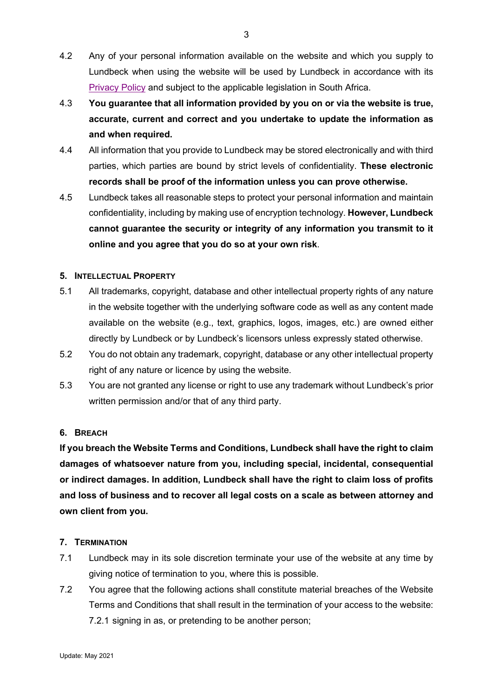- 4.2 Any of your personal information available on the website and which you supply to Lundbeck when using the website will be used by Lundbeck in accordance with its [Privacy Policy](https://hlundbeck-my.sharepoint.com/personal/sly_lundbeck_com/Documents/Documents/Lundbeck.co.za/Disclaimer,%20privacy/Lundbeck_POPIA_PAIA%20Privacy%20Manual.pdf) and subject to the applicable legislation in South Africa.
- 4.3 **You guarantee that all information provided by you on or via the website is true, accurate, current and correct and you undertake to update the information as and when required.**
- 4.4 All information that you provide to Lundbeck may be stored electronically and with third parties, which parties are bound by strict levels of confidentiality. **These electronic records shall be proof of the information unless you can prove otherwise.**
- 4.5 Lundbeck takes all reasonable steps to protect your personal information and maintain confidentiality, including by making use of encryption technology. **However, Lundbeck cannot guarantee the security or integrity of any information you transmit to it online and you agree that you do so at your own risk**.

# **5. INTELLECTUAL PROPERTY**

- 5.1 All trademarks, copyright, database and other intellectual property rights of any nature in the website together with the underlying software code as well as any content made available on the website (e.g., text, graphics, logos, images, etc.) are owned either directly by Lundbeck or by Lundbeck's licensors unless expressly stated otherwise.
- 5.2 You do not obtain any trademark, copyright, database or any other intellectual property right of any nature or licence by using the website.
- 5.3 You are not granted any license or right to use any trademark without Lundbeck's prior written permission and/or that of any third party.

# **6. BREACH**

**If you breach the Website Terms and Conditions, Lundbeck shall have the right to claim damages of whatsoever nature from you, including special, incidental, consequential or indirect damages. In addition, Lundbeck shall have the right to claim loss of profits and loss of business and to recover all legal costs on a scale as between attorney and own client from you.**

# **7. TERMINATION**

- 7.1 Lundbeck may in its sole discretion terminate your use of the website at any time by giving notice of termination to you, where this is possible.
- 7.2 You agree that the following actions shall constitute material breaches of the Website Terms and Conditions that shall result in the termination of your access to the website: 7.2.1 signing in as, or pretending to be another person;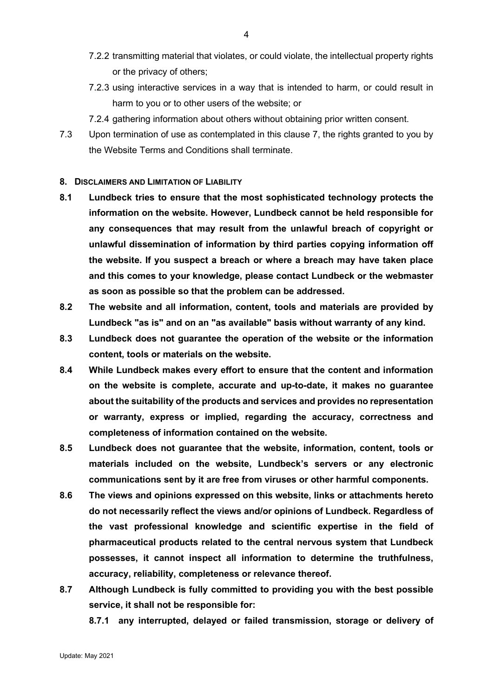- 7.2.2 transmitting material that violates, or could violate, the intellectual property rights or the privacy of others;
- 7.2.3 using interactive services in a way that is intended to harm, or could result in harm to you or to other users of the website; or
- 7.2.4 gathering information about others without obtaining prior written consent.
- 7.3 Upon termination of use as contemplated in this clause 7, the rights granted to you by the Website Terms and Conditions shall terminate.

### **8. DISCLAIMERS AND LIMITATION OF LIABILITY**

- **8.1 Lundbeck tries to ensure that the most sophisticated technology protects the information on the website. However, Lundbeck cannot be held responsible for any consequences that may result from the unlawful breach of copyright or unlawful dissemination of information by third parties copying information off the website. If you suspect a breach or where a breach may have taken place and this comes to your knowledge, please contact Lundbeck or the webmaster as soon as possible so that the problem can be addressed.**
- **8.2 The website and all information, content, tools and materials are provided by Lundbeck "as is" and on an "as available" basis without warranty of any kind.**
- **8.3 Lundbeck does not guarantee the operation of the website or the information content, tools or materials on the website.**
- **8.4 While Lundbeck makes every effort to ensure that the content and information on the website is complete, accurate and up-to-date, it makes no guarantee about the suitability of the products and services and provides no representation or warranty, express or implied, regarding the accuracy, correctness and completeness of information contained on the website.**
- **8.5 Lundbeck does not guarantee that the website, information, content, tools or materials included on the website, Lundbeck's servers or any electronic communications sent by it are free from viruses or other harmful components.**
- **8.6 The views and opinions expressed on this website, links or attachments hereto do not necessarily reflect the views and/or opinions of Lundbeck. Regardless of the vast professional knowledge and scientific expertise in the field of pharmaceutical products related to the central nervous system that Lundbeck possesses, it cannot inspect all information to determine the truthfulness, accuracy, reliability, completeness or relevance thereof.**
- **8.7 Although Lundbeck is fully committed to providing you with the best possible service, it shall not be responsible for:**

**8.7.1 any interrupted, delayed or failed transmission, storage or delivery of**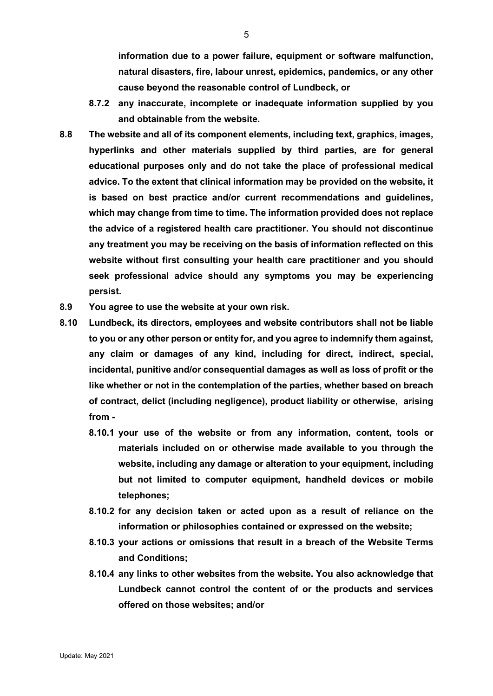**information due to a power failure, equipment or software malfunction, natural disasters, fire, labour unrest, epidemics, pandemics, or any other cause beyond the reasonable control of Lundbeck, or**

- **8.7.2 any inaccurate, incomplete or inadequate information supplied by you and obtainable from the website.**
- **8.8 The website and all of its component elements, including text, graphics, images, hyperlinks and other materials supplied by third parties, are for general educational purposes only and do not take the place of professional medical advice. To the extent that clinical information may be provided on the website, it is based on best practice and/or current recommendations and guidelines, which may change from time to time. The information provided does not replace the advice of a registered health care practitioner. You should not discontinue any treatment you may be receiving on the basis of information reflected on this website without first consulting your health care practitioner and you should seek professional advice should any symptoms you may be experiencing persist.**
- **8.9 You agree to use the website at your own risk.**
- **8.10 Lundbeck, its directors, employees and website contributors shall not be liable to you or any other person or entity for, and you agree to indemnify them against, any claim or damages of any kind, including for direct, indirect, special, incidental, punitive and/or consequential damages as well as loss of profit or the like whether or not in the contemplation of the parties, whether based on breach of contract, delict (including negligence), product liability or otherwise, arising from -**
	- **8.10.1 your use of the website or from any information, content, tools or materials included on or otherwise made available to you through the website, including any damage or alteration to your equipment, including but not limited to computer equipment, handheld devices or mobile telephones;**
	- **8.10.2 for any decision taken or acted upon as a result of reliance on the information or philosophies contained or expressed on the website;**
	- **8.10.3 your actions or omissions that result in a breach of the Website Terms and Conditions;**
	- **8.10.4 any links to other websites from the website. You also acknowledge that Lundbeck cannot control the content of or the products and services offered on those websites; and/or**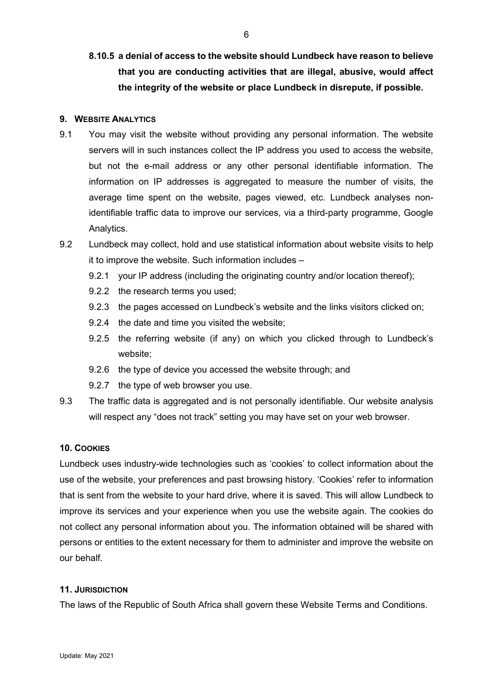**8.10.5 a denial of access to the website should Lundbeck have reason to believe that you are conducting activities that are illegal, abusive, would affect the integrity of the website or place Lundbeck in disrepute, if possible.**

### **9. WEBSITE ANALYTICS**

- 9.1 You may visit the website without providing any personal information. The website servers will in such instances collect the IP address you used to access the website, but not the e-mail address or any other personal identifiable information. The information on IP addresses is aggregated to measure the number of visits, the average time spent on the website, pages viewed, etc. Lundbeck analyses nonidentifiable traffic data to improve our services, via a third-party programme, Google Analytics.
- 9.2 Lundbeck may collect, hold and use statistical information about website visits to help it to improve the website. Such information includes –
	- 9.2.1 your IP address (including the originating country and/or location thereof);
	- 9.2.2 the research terms you used;
	- 9.2.3 the pages accessed on Lundbeck's website and the links visitors clicked on;
	- 9.2.4 the date and time you visited the website;
	- 9.2.5 the referring website (if any) on which you clicked through to Lundbeck's website;
	- 9.2.6 the type of device you accessed the website through; and
	- 9.2.7 the type of web browser you use.
- 9.3 The traffic data is aggregated and is not personally identifiable. Our website analysis will respect any "does not track" setting you may have set on your web browser.

## **10. COOKIES**

Lundbeck uses industry-wide technologies such as 'cookies' to collect information about the use of the website, your preferences and past browsing history. 'Cookies' refer to information that is sent from the website to your hard drive, where it is saved. This will allow Lundbeck to improve its services and your experience when you use the website again. The cookies do not collect any personal information about you. The information obtained will be shared with persons or entities to the extent necessary for them to administer and improve the website on our behalf.

#### **11. JURISDICTION**

The laws of the Republic of South Africa shall govern these Website Terms and Conditions.